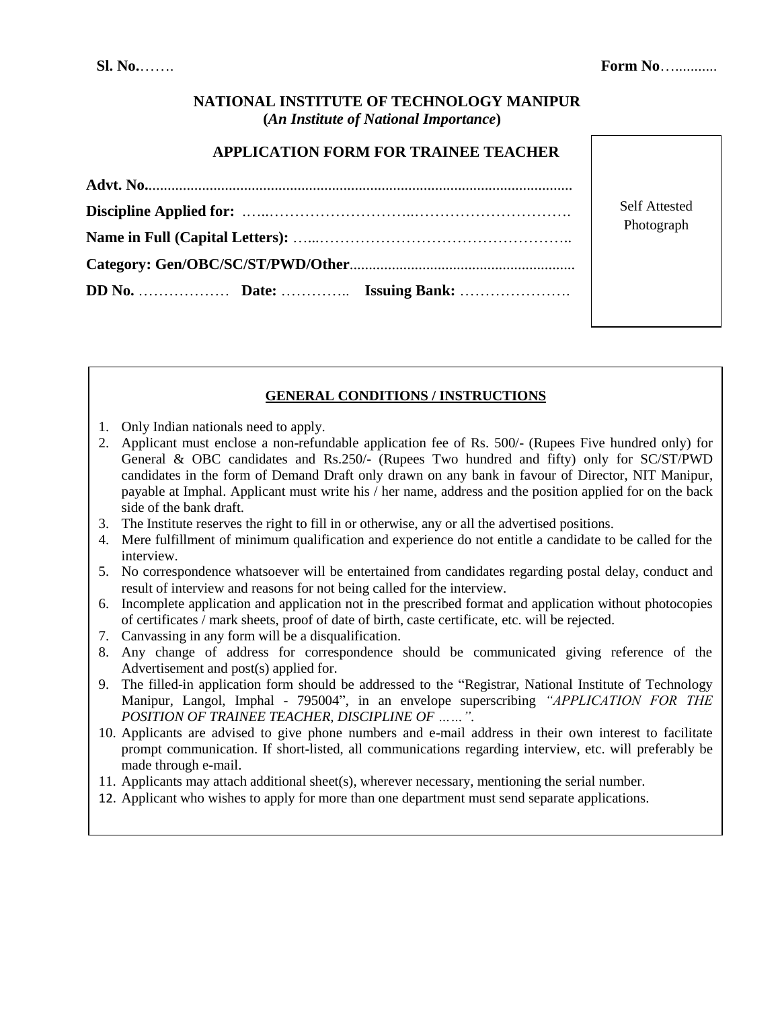# **NATIONAL INSTITUTE OF TECHNOLOGY MANIPUR (***An Institute of National Importance***)**

### **APPLICATION FORM FOR TRAINEE TEACHER**

| <b>Self Attested</b> |
|----------------------|
| Photograph           |
|                      |
|                      |

# **GENERAL CONDITIONS / INSTRUCTIONS**

- 1. Only Indian nationals need to apply.
- 2. Applicant must enclose a non-refundable application fee of Rs. 500/- (Rupees Five hundred only) for General & OBC candidates and Rs.250/- (Rupees Two hundred and fifty) only for SC/ST/PWD candidates in the form of Demand Draft only drawn on any bank in favour of Director, NIT Manipur, payable at Imphal. Applicant must write his / her name, address and the position applied for on the back side of the bank draft.
- 3. The Institute reserves the right to fill in or otherwise, any or all the advertised positions.
- 4. Mere fulfillment of minimum qualification and experience do not entitle a candidate to be called for the interview.
- 5. No correspondence whatsoever will be entertained from candidates regarding postal delay, conduct and result of interview and reasons for not being called for the interview.
- 6. Incomplete application and application not in the prescribed format and application without photocopies of certificates / mark sheets, proof of date of birth, caste certificate, etc. will be rejected.
- 7. Canvassing in any form will be a disqualification.
- 8. Any change of address for correspondence should be communicated giving reference of the Advertisement and post(s) applied for.
- 9. The filled-in application form should be addressed to the "Registrar, National Institute of Technology Manipur, Langol, Imphal - 795004", in an envelope superscribing *"APPLICATION FOR THE POSITION OF TRAINEE TEACHER, DISCIPLINE OF ……"*.
- 10. Applicants are advised to give phone numbers and e-mail address in their own interest to facilitate prompt communication. If short-listed, all communications regarding interview, etc. will preferably be made through e-mail.
- 11. Applicants may attach additional sheet(s), wherever necessary, mentioning the serial number.
- 12. Applicant who wishes to apply for more than one department must send separate applications.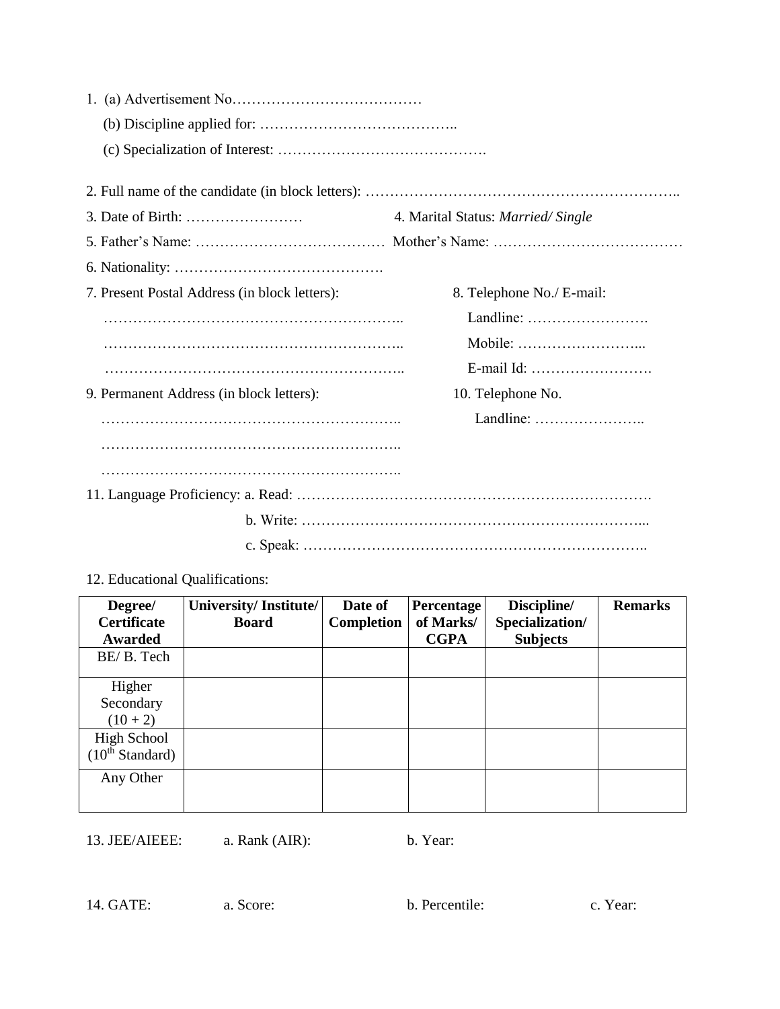|                                               | 4. Marital Status: Married/Single |  |  |  |  |  |
|-----------------------------------------------|-----------------------------------|--|--|--|--|--|
|                                               |                                   |  |  |  |  |  |
|                                               |                                   |  |  |  |  |  |
| 7. Present Postal Address (in block letters): | 8. Telephone No./ E-mail:         |  |  |  |  |  |
|                                               | Landline:                         |  |  |  |  |  |
|                                               |                                   |  |  |  |  |  |
|                                               |                                   |  |  |  |  |  |
| 9. Permanent Address (in block letters):      | 10. Telephone No.                 |  |  |  |  |  |
|                                               |                                   |  |  |  |  |  |
|                                               |                                   |  |  |  |  |  |
|                                               |                                   |  |  |  |  |  |
|                                               |                                   |  |  |  |  |  |
|                                               |                                   |  |  |  |  |  |
|                                               |                                   |  |  |  |  |  |

12. Educational Qualifications:

| Degree/                     | University/Institute/ | Date of    | Percentage  | Discipline/     | <b>Remarks</b> |
|-----------------------------|-----------------------|------------|-------------|-----------------|----------------|
| <b>Certificate</b>          | <b>Board</b>          | Completion | of Marks/   | Specialization/ |                |
| Awarded                     |                       |            | <b>CGPA</b> | <b>Subjects</b> |                |
| BE/B. Tech                  |                       |            |             |                 |                |
|                             |                       |            |             |                 |                |
| Higher                      |                       |            |             |                 |                |
| Secondary                   |                       |            |             |                 |                |
| $(10 + 2)$                  |                       |            |             |                 |                |
| High School                 |                       |            |             |                 |                |
| $(10^{\text{th}}$ Standard) |                       |            |             |                 |                |
| Any Other                   |                       |            |             |                 |                |
|                             |                       |            |             |                 |                |

13. JEE/AIEEE: a. Rank (AIR): b. Year:

14. GATE: a. Score: b. Percentile: c. Year: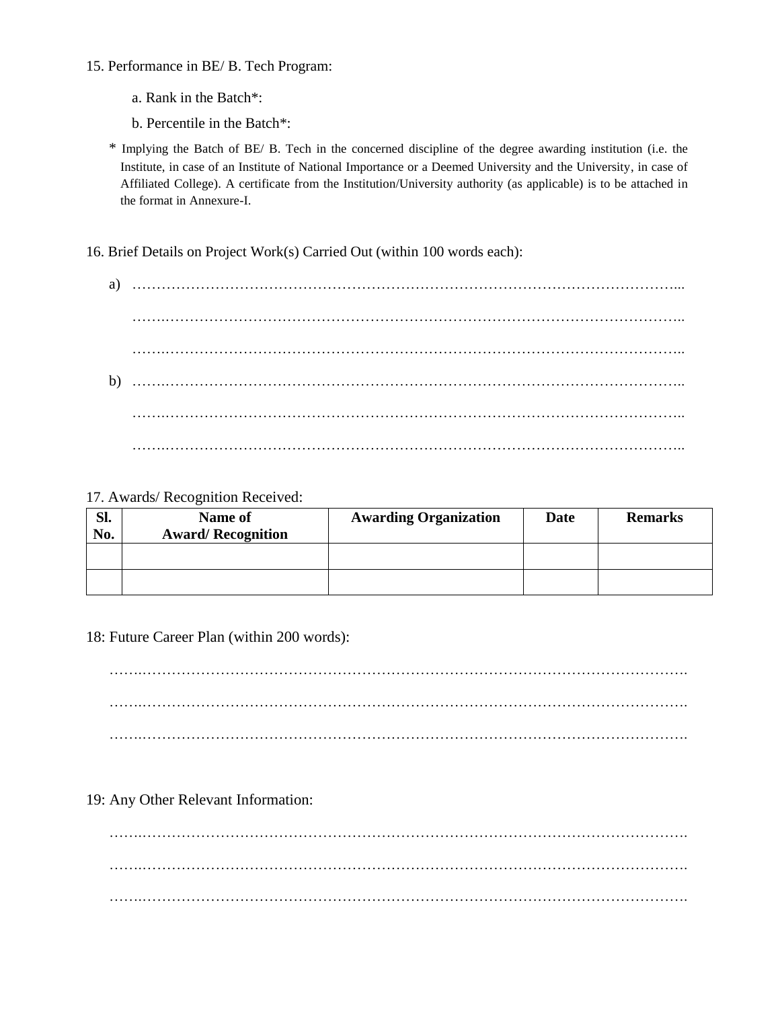- 15. Performance in BE/ B. Tech Program:
	- a. Rank in the Batch\*:
	- b. Percentile in the Batch\*:

\* Implying the Batch of BE/ B. Tech in the concerned discipline of the degree awarding institution (i.e. the Institute, in case of an Institute of National Importance or a Deemed University and the University, in case of Affiliated College). A certificate from the Institution/University authority (as applicable) is to be attached in the format in Annexure-I.

16. Brief Details on Project Work(s) Carried Out (within 100 words each):

#### 17. Awards/ Recognition Received:

| Sl.<br>No. | Name of<br><b>Award/Recognition</b> | <b>Awarding Organization</b> | Date | <b>Remarks</b> |
|------------|-------------------------------------|------------------------------|------|----------------|
|            |                                     |                              |      |                |
|            |                                     |                              |      |                |

18: Future Career Plan (within 200 words):

…….…………………………………………………………………………………………………. …….…………………………………………………………………………………………………. …….………………………………………………………………………………………………….

### 19: Any Other Relevant Information:

…….…………………………………………………………………………………………………. …….…………………………………………………………………………………………………. …….………………………………………………………………………………………………….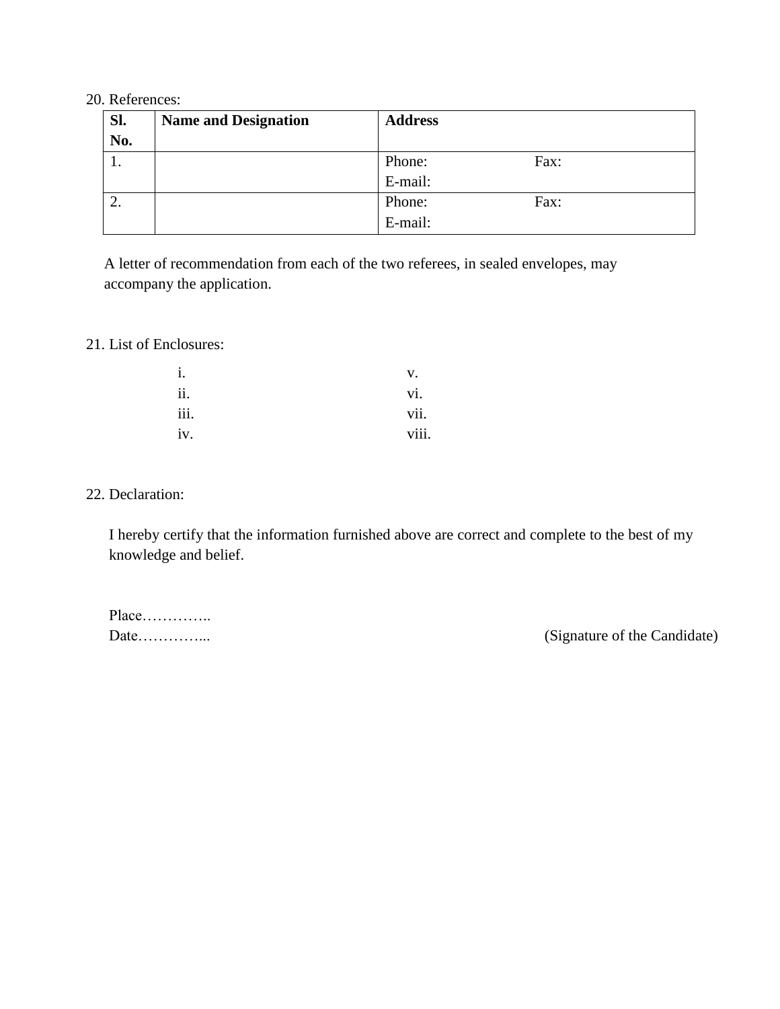### 20. References:

| Sl. | <b>Name and Designation</b> | <b>Address</b> |      |
|-----|-----------------------------|----------------|------|
| No. |                             |                |      |
| .,  |                             | Phone:         | Fax: |
|     |                             | E-mail:        |      |
|     |                             | Phone:         | Fax: |
|     |                             | E-mail:        |      |

A letter of recommendation from each of the two referees, in sealed envelopes, may accompany the application.

## 21. List of Enclosures:

| i.   | v.    |
|------|-------|
| ii.  | vi.   |
| iii. | vii.  |
| iv.  | viii. |

# 22. Declaration:

I hereby certify that the information furnished above are correct and complete to the best of my knowledge and belief.

| $Place$ |  |  |  |  |  |  |  |  |
|---------|--|--|--|--|--|--|--|--|
| Date    |  |  |  |  |  |  |  |  |

(Signature of the Candidate)